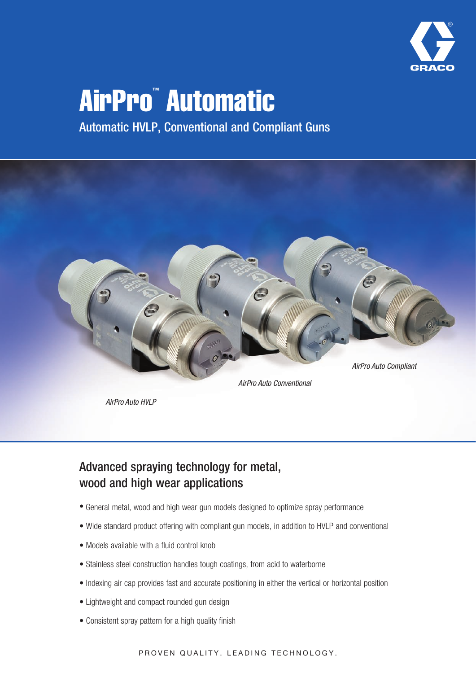

# AirPro™ Automatic

Automatic HVLP, Conventional and Compliant Guns



*AirPro Auto Conventional*

*AirPro Auto HVLP*

# Advanced spraying technology for metal, wood and high wear applications

- General metal, wood and high wear gun models designed to optimize spray performance
- Wide standard product offering with compliant gun models, in addition to HVLP and conventional
- Models available with a fluid control knob
- Stainless steel construction handles tough coatings, from acid to waterborne
- Indexing air cap provides fast and accurate positioning in either the vertical or horizontal position
- Lightweight and compact rounded gun design
- Consistent spray pattern for a high quality finish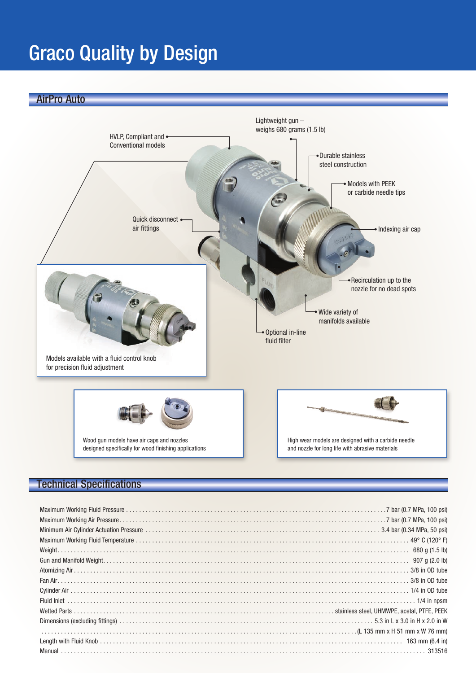# Graco Quality by Design

AirPro Auto



# Technical Specifications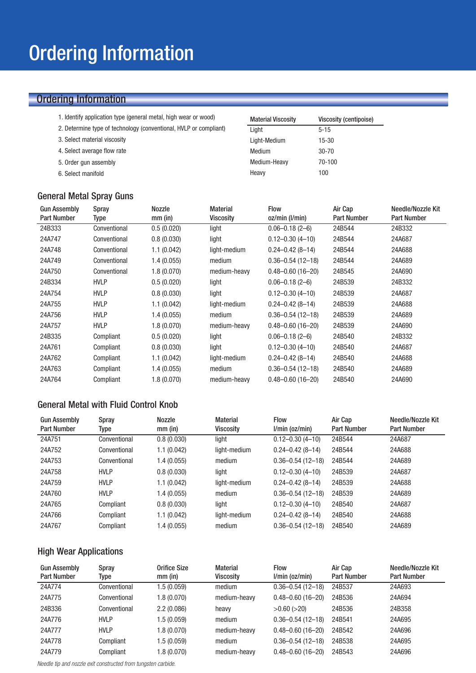# Ordering Information

- 1. Identify application type (general metal, high wear or wood)
- 2. Determine type of technology (conventional, HVLP or compliant)
- 3. Select material viscosity
- 4. Select average flow rate
- 5. Order gun assembly
- 6. Select manifold

### General Metal Spray Guns

| <b>Material Viscosity</b> | <b>Viscosity (centipoise)</b> |
|---------------------------|-------------------------------|
| Light                     | $5 - 15$                      |
| Light-Medium              | 15-30                         |
| Medium                    | 30-70                         |
| Medium-Heavy              | $70 - 100$                    |
| Heavy                     | 100                           |

| <b>Gun Assembly</b><br><b>Part Number</b> | Spray<br>Type | Nozzle<br>$mm$ (in) | <b>Material</b><br><b>Viscosity</b> | <b>Flow</b><br>oz/min (I/min) | Air Cap<br><b>Part Number</b> | Needle/Nozzle Kit<br><b>Part Number</b> |
|-------------------------------------------|---------------|---------------------|-------------------------------------|-------------------------------|-------------------------------|-----------------------------------------|
| 24B333                                    | Conventional  | 0.5(0.020)          | light                               | $0.06 - 0.18(2 - 6)$          | 24B544                        | 24B332                                  |
| 24A747                                    | Conventional  | 0.8(0.030)          | light                               | $0.12 - 0.30(4 - 10)$         | 24B544                        | 24A687                                  |
| 24A748                                    | Conventional  | 1.1(0.042)          | light-medium                        | $0.24 - 0.42(8 - 14)$         | 24B544                        | 24A688                                  |
| 24A749                                    | Conventional  | 1.4(0.055)          | medium                              | $0.36 - 0.54$ (12-18)         | 24B544                        | 24A689                                  |
| 24A750                                    | Conventional  | 1.8(0.070)          | medium-heavy                        | $0.48 - 0.60$ (16-20)         | 24B545                        | 24A690                                  |
| 24B334                                    | <b>HVLP</b>   | 0.5(0.020)          | light                               | $0.06 - 0.18(2 - 6)$          | 24B539                        | 24B332                                  |
| 24A754                                    | <b>HVLP</b>   | 0.8(0.030)          | light                               | $0.12 - 0.30(4 - 10)$         | 24B539                        | 24A687                                  |
| 24A755                                    | <b>HVLP</b>   | 1.1(0.042)          | light-medium                        | $0.24 - 0.42(8 - 14)$         | 24B539                        | 24A688                                  |
| 24A756                                    | <b>HVLP</b>   | 1.4(0.055)          | medium                              | $0.36 - 0.54(12 - 18)$        | 24B539                        | 24A689                                  |
| 24A757                                    | <b>HVLP</b>   | 1.8(0.070)          | medium-heavy                        | $0.48 - 0.60(16 - 20)$        | 24B539                        | 24A690                                  |
| 24B335                                    | Compliant     | 0.5(0.020)          | light                               | $0.06 - 0.18(2 - 6)$          | 24B540                        | 24B332                                  |
| 24A761                                    | Compliant     | 0.8(0.030)          | light                               | $0.12 - 0.30(4 - 10)$         | 24B540                        | 24A687                                  |
| 24A762                                    | Compliant     | 1.1(0.042)          | light-medium                        | $0.24 - 0.42(8 - 14)$         | 24B540                        | 24A688                                  |
| 24A763                                    | Compliant     | 1.4(0.055)          | medium                              | $0.36 - 0.54$ (12-18)         | 24B540                        | 24A689                                  |
| 24A764                                    | Compliant     | 1.8(0.070)          | medium-heavy                        | $0.48 - 0.60$ (16-20)         | 24B540                        | 24A690                                  |

### General Metal with Fluid Control Knob

| <b>Gun Assembly</b><br><b>Part Number</b> | Spray<br>Type | Nozzle<br>$mm$ (in) | Material<br><b>Viscosity</b> | <b>Flow</b><br>$l/min$ (oz/min) | Air Cap<br><b>Part Number</b> | Needle/Nozzle Kit<br><b>Part Number</b> |
|-------------------------------------------|---------------|---------------------|------------------------------|---------------------------------|-------------------------------|-----------------------------------------|
| 24A751                                    | Conventional  | 0.8(0.030)          | light                        | $0.12 - 0.30(4 - 10)$           | 24B544                        | 24A687                                  |
| 24A752                                    | Conventional  | 1.1(0.042)          | light-medium                 | $0.24 - 0.42(8 - 14)$           | 24B544                        | 24A688                                  |
| 24A753                                    | Conventional  | 1.4(0.055)          | medium                       | $0.36 - 0.54(12 - 18)$          | 24B544                        | 24A689                                  |
| 24A758                                    | <b>HVLP</b>   | 0.8(0.030)          | light                        | $0.12 - 0.30(4 - 10)$           | 24B539                        | 24A687                                  |
| 24A759                                    | <b>HVLP</b>   | 1.1(0.042)          | light-medium                 | $0.24 - 0.42(8 - 14)$           | 24B539                        | 24A688                                  |
| 24A760                                    | <b>HVLP</b>   | 1.4(0.055)          | medium                       | $0.36 - 0.54$ (12-18)           | 24B539                        | 24A689                                  |
| 24A765                                    | Compliant     | 0.8(0.030)          | light                        | $0.12 - 0.30(4 - 10)$           | 24B540                        | 24A687                                  |
| 24A766                                    | Compliant     | 1.1(0.042)          | light-medium                 | $0.24 - 0.42(8 - 14)$           | 24B540                        | 24A688                                  |
| 24A767                                    | Compliant     | 1.4 (0.055)         | medium                       | $0.36 - 0.54(12 - 18)$          | 24B540                        | 24A689                                  |

## High Wear Applications

| <b>Gun Assembly</b><br><b>Part Number</b> | Spray<br>Type | Orifice Size<br>$mm$ (in) | <b>Material</b><br><b>Viscosity</b> | <b>Flow</b><br>$I/min$ (oz/min) | Air Cap<br><b>Part Number</b> | Needle/Nozzle Kit<br><b>Part Number</b> |
|-------------------------------------------|---------------|---------------------------|-------------------------------------|---------------------------------|-------------------------------|-----------------------------------------|
| 24A774                                    | Conventional  | 1.5 (0.059)               | medium                              | $0.36 - 0.54(12 - 18)$          | 24B537                        | 24A693                                  |
| 24A775                                    | Conventional  | 1.8 (0.070)               | medium-heavy                        | $0.48 - 0.60$ (16-20)           | 24B536                        | 24A694                                  |
| 24B336                                    | Conventional  | 2.2(0.086)                | heavy                               | $>0.60$ ( $>20$ )               | 24B536                        | 24B358                                  |
| 24A776                                    | <b>HVLP</b>   | 1.5 (0.059)               | medium                              | $0.36 - 0.54(12 - 18)$          | 24B541                        | 24A695                                  |
| 24A777                                    | <b>HVLP</b>   | 1.8 (0.070)               | medium-heavy                        | $0.48 - 0.60$ (16-20)           | 24B542                        | 24A696                                  |
| 24A778                                    | Compliant     | 1.5 (0.059)               | medium                              | $0.36 - 0.54$ (12-18)           | 24B538                        | 24A695                                  |
| 24A779                                    | Compliant     | 1.8(0.070)                | medium-heavy                        | $0.48 - 0.60$ (16-20)           | 24B543                        | 24A696                                  |

*Needle tip and nozzle exit constructed from tungsten carbide.*